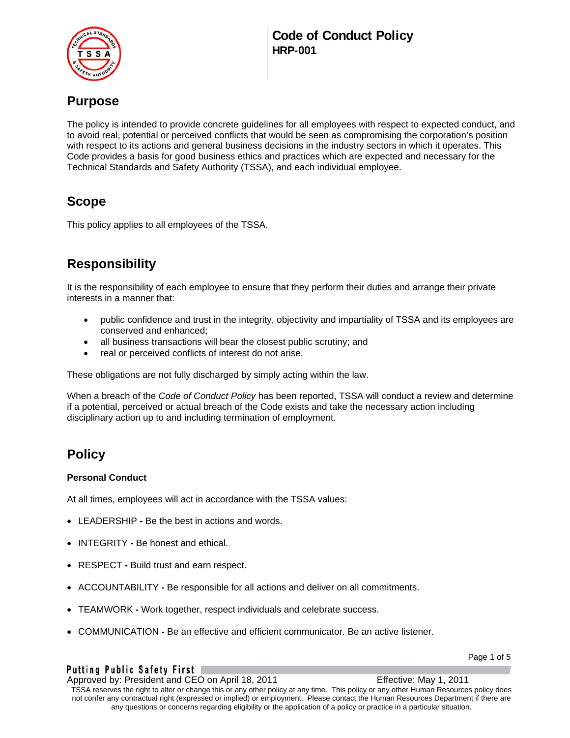

# **Purpose**

The policy is intended to provide concrete guidelines for all employees with respect to expected conduct, and to avoid real, potential or perceived conflicts that would be seen as compromising the corporation's position with respect to its actions and general business decisions in the industry sectors in which it operates. This Code provides a basis for good business ethics and practices which are expected and necessary for the Technical Standards and Safety Authority (TSSA), and each individual employee.

# **Scope**

This policy applies to all employees of the TSSA.

# **Responsibility**

It is the responsibility of each employee to ensure that they perform their duties and arrange their private interests in a manner that:

- public confidence and trust in the integrity, objectivity and impartiality of TSSA and its employees are conserved and enhanced;
- all business transactions will bear the closest public scrutiny; and
- real or perceived conflicts of interest do not arise.

These obligations are not fully discharged by simply acting within the law.

When a breach of the *Code of Conduct Policy* has been reported, TSSA will conduct a review and determine if a potential, perceived or actual breach of the Code exists and take the necessary action including disciplinary action up to and including termination of employment.

## **Policy**

### **Personal Conduct**

At all times, employees will act in accordance with the TSSA values:

- LEADERSHIPBe the best in actions and words.
- INTEGRITYBe honest and ethical.
- RESPECT **-** Build trust and earn respect.
- ACCOUNTABILITYBe responsible for all actions and deliver on all commitments.
- TEAMWORKWork together, respect individuals and celebrate success.
- COMMUNICATION **-** Be an effective and efficient communicator. Be an active listener.

Page 1 of 5

Putting Public Safety First | Approved by: President and CEO on April 18, 2011 Effective: May 1, 2011 TSSA reserves the right to alter or change this or any other policy at any time. This policy or any other Human Resources policy does not confer any contractual right (expressed or implied) or employment. Please contact the Human Resources Department if there are any questions or concerns regarding eligibility or the application of a policy or practice in a particular situation.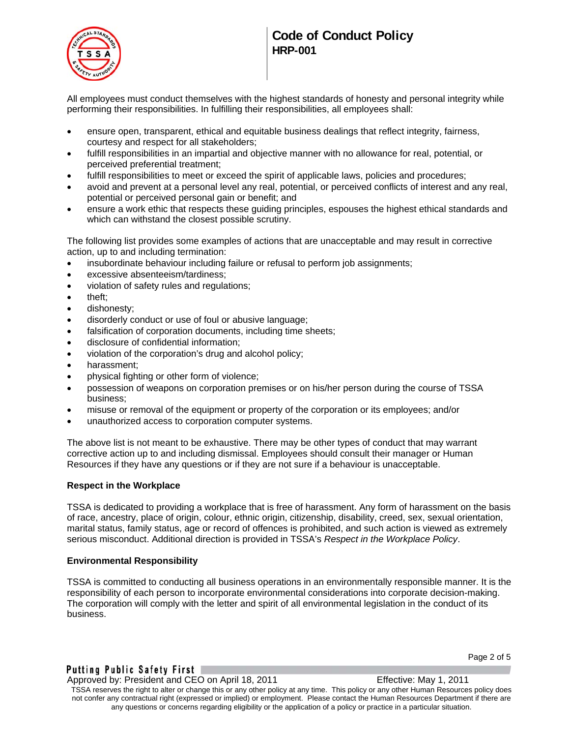

# **Code of Conduct Policy HRP-001**

All employees must conduct themselves with the highest standards of honesty and personal integrity while performing their responsibilities. In fulfilling their responsibilities, all employees shall:

- ensure open, transparent, ethical and equitable business dealings that reflect integrity, fairness, courtesy and respect for all stakeholders;
- fulfill responsibilities in an impartial and objective manner with no allowance for real, potential, or perceived preferential treatment;
- fulfill responsibilities to meet or exceed the spirit of applicable laws, policies and procedures;
- avoid and prevent at a personal level any real, potential, or perceived conflicts of interest and any real, potential or perceived personal gain or benefit; and
- ensure a work ethic that respects these guiding principles, espouses the highest ethical standards and which can withstand the closest possible scrutiny.

The following list provides some examples of actions that are unacceptable and may result in corrective action, up to and including termination:

- insubordinate behaviour including failure or refusal to perform job assignments;
- excessive absenteeism/tardiness;
- violation of safety rules and regulations;
- theft;
- dishonesty;
- disorderly conduct or use of foul or abusive language;
- falsification of corporation documents, including time sheets;
- disclosure of confidential information;
- violation of the corporation's drug and alcohol policy;
- harassment;
- physical fighting or other form of violence;
- possession of weapons on corporation premises or on his/her person during the course of TSSA business;
- misuse or removal of the equipment or property of the corporation or its employees; and/or
- unauthorized access to corporation computer systems.

The above list is not meant to be exhaustive. There may be other types of conduct that may warrant corrective action up to and including dismissal. Employees should consult their manager or Human Resources if they have any questions or if they are not sure if a behaviour is unacceptable.

#### **Respect in the Workplace**

TSSA is dedicated to providing a workplace that is free of harassment. Any form of harassment on the basis of race, ancestry, place of origin, colour, ethnic origin, citizenship, disability, creed, sex, sexual orientation, marital status, family status, age or record of offences is prohibited, and such action is viewed as extremely serious misconduct. Additional direction is provided in TSSA's *Respect in the Workplace Policy*.

#### **Environmental Responsibility**

TSSA is committed to conducting all business operations in an environmentally responsible manner. It is the responsibility of each person to incorporate environmental considerations into corporate decision-making. The corporation will comply with the letter and spirit of all environmental legislation in the conduct of its business.

Approved by: President and CEO on April 18, 2011 Effective: May 1, 2011 TSSA reserves the right to alter or change this or any other policy at any time. This policy or any other Human Resources policy does

not confer any contractual right (expressed or implied) or employment. Please contact the Human Resources Department if there are any questions or concerns regarding eligibility or the application of a policy or practice in a particular situation.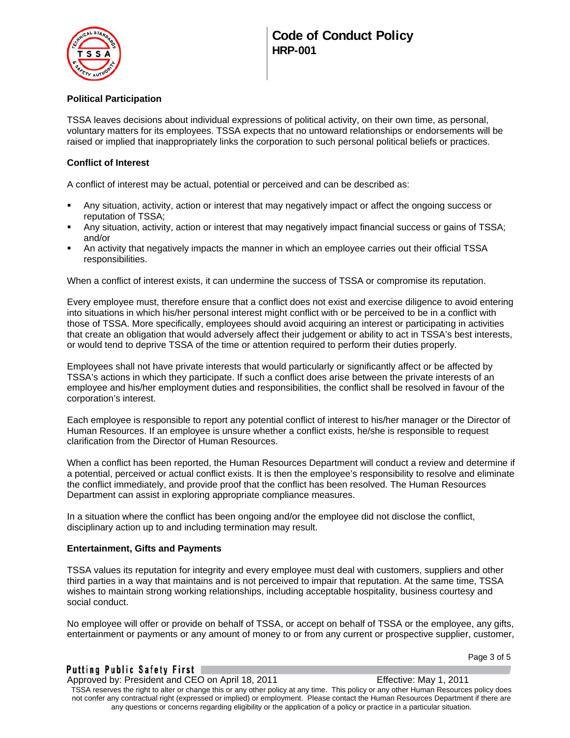

### **Political Participation**

TSSA leaves decisions about individual expressions of political activity, on their own time, as personal, voluntary matters for its employees. TSSA expects that no untoward relationships or endorsements will be raised or implied that inappropriately links the corporation to such personal political beliefs or practices.

### **Conflict of Interest**

A conflict of interest may be actual, potential or perceived and can be described as:

- Any situation, activity, action or interest that may negatively impact or affect the ongoing success or reputation of TSSA;
- Any situation, activity, action or interest that may negatively impact financial success or gains of TSSA; and/or
- An activity that negatively impacts the manner in which an employee carries out their official TSSA responsibilities.

When a conflict of interest exists, it can undermine the success of TSSA or compromise its reputation.

Every employee must, therefore ensure that a conflict does not exist and exercise diligence to avoid entering into situations in which his/her personal interest might conflict with or be perceived to be in a conflict with those of TSSA. More specifically, employees should avoid acquiring an interest or participating in activities that create an obligation that would adversely affect their judgement or ability to act in TSSA's best interests, or would tend to deprive TSSA of the time or attention required to perform their duties properly.

Employees shall not have private interests that would particularly or significantly affect or be affected by TSSA's actions in which they participate. If such a conflict does arise between the private interests of an employee and his/her employment duties and responsibilities, the conflict shall be resolved in favour of the corporation's interest.

Each employee is responsible to report any potential conflict of interest to his/her manager or the Director of Human Resources. If an employee is unsure whether a conflict exists, he/she is responsible to request clarification from the Director of Human Resources.

When a conflict has been reported, the Human Resources Department will conduct a review and determine if a potential, perceived or actual conflict exists. It is then the employee's responsibility to resolve and eliminate the conflict immediately, and provide proof that the conflict has been resolved. The Human Resources Department can assist in exploring appropriate compliance measures.

In a situation where the conflict has been ongoing and/or the employee did not disclose the conflict, disciplinary action up to and including termination may result.

### **Entertainment, Gifts and Payments**

TSSA values its reputation for integrity and every employee must deal with customers, suppliers and other third parties in a way that maintains and is not perceived to impair that reputation. At the same time, TSSA wishes to maintain strong working relationships, including acceptable hospitality, business courtesy and social conduct.

No employee will offer or provide on behalf of TSSA, or accept on behalf of TSSA or the employee, any gifts, entertainment or payments or any amount of money to or from any current or prospective supplier, customer,

### Putting Public Safety First |

Approved by: President and CEO on April 18, 2011 Effective: May 1, 2011 TSSA reserves the right to alter or change this or any other policy at any time. This policy or any other Human Resources policy does not confer any contractual right (expressed or implied) or employment. Please contact the Human Resources Department if there are any questions or concerns regarding eligibility or the application of a policy or practice in a particular situation.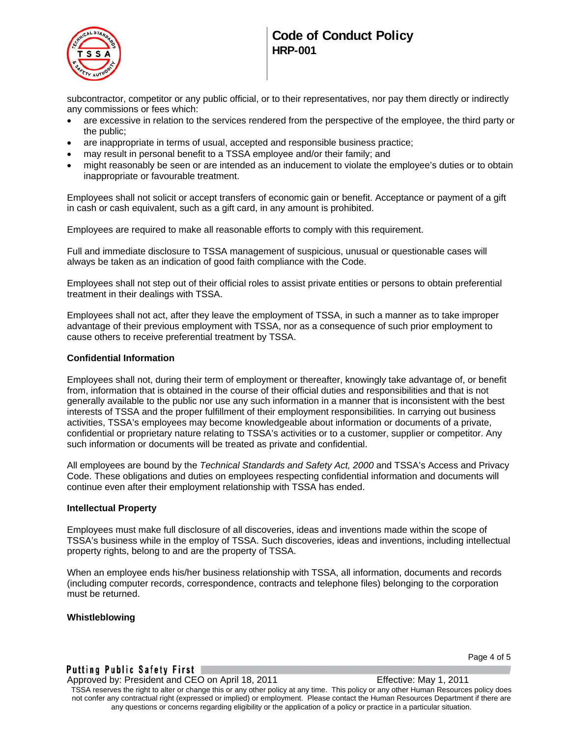

# **Code of Conduct Policy HRP-001**

subcontractor, competitor or any public official, or to their representatives, nor pay them directly or indirectly any commissions or fees which:

- are excessive in relation to the services rendered from the perspective of the employee, the third party or the public;
- are inappropriate in terms of usual, accepted and responsible business practice;
- may result in personal benefit to a TSSA employee and/or their family; and
- might reasonably be seen or are intended as an inducement to violate the employee's duties or to obtain inappropriate or favourable treatment.

Employees shall not solicit or accept transfers of economic gain or benefit. Acceptance or payment of a gift in cash or cash equivalent, such as a gift card, in any amount is prohibited.

Employees are required to make all reasonable efforts to comply with this requirement.

Full and immediate disclosure to TSSA management of suspicious, unusual or questionable cases will always be taken as an indication of good faith compliance with the Code.

Employees shall not step out of their official roles to assist private entities or persons to obtain preferential treatment in their dealings with TSSA.

Employees shall not act, after they leave the employment of TSSA, in such a manner as to take improper advantage of their previous employment with TSSA, nor as a consequence of such prior employment to cause others to receive preferential treatment by TSSA.

#### **Confidential Information**

Employees shall not, during their term of employment or thereafter, knowingly take advantage of, or benefit from, information that is obtained in the course of their official duties and responsibilities and that is not generally available to the public nor use any such information in a manner that is inconsistent with the best interests of TSSA and the proper fulfillment of their employment responsibilities. In carrying out business activities, TSSA's employees may become knowledgeable about information or documents of a private, confidential or proprietary nature relating to TSSA's activities or to a customer, supplier or competitor. Any such information or documents will be treated as private and confidential.

All employees are bound by the *Technical Standards and Safety Act, 2000* and TSSA's Access and Privacy Code. These obligations and duties on employees respecting confidential information and documents will continue even after their employment relationship with TSSA has ended.

#### **Intellectual Property**

Employees must make full disclosure of all discoveries, ideas and inventions made within the scope of TSSA's business while in the employ of TSSA. Such discoveries, ideas and inventions, including intellectual property rights, belong to and are the property of TSSA.

When an employee ends his/her business relationship with TSSA, all information, documents and records (including computer records, correspondence, contracts and telephone files) belonging to the corporation must be returned.

#### **Whistleblowing**

#### Putting Public Safety First |

Page 4 of 5

Approved by: President and CEO on April 18, 2011 Effective: May 1, 2011

TSSA reserves the right to alter or change this or any other policy at any time. This policy or any other Human Resources policy does not confer any contractual right (expressed or implied) or employment. Please contact the Human Resources Department if there are any questions or concerns regarding eligibility or the application of a policy or practice in a particular situation.